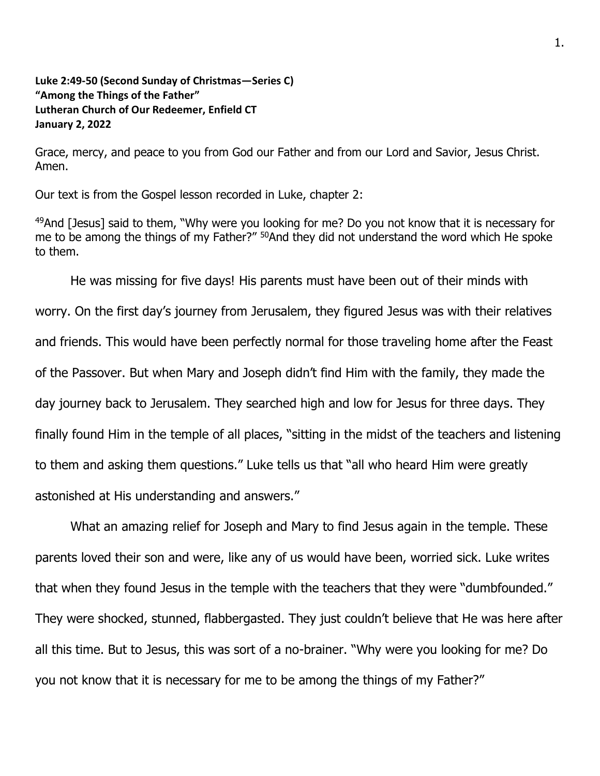## **Luke 2:49-50 (Second Sunday of Christmas—Series C) "Among the Things of the Father" Lutheran Church of Our Redeemer, Enfield CT January 2, 2022**

Grace, mercy, and peace to you from God our Father and from our Lord and Savior, Jesus Christ. Amen.

Our text is from the Gospel lesson recorded in Luke, chapter 2:

<sup>49</sup>And [Jesus] said to them, "Why were you looking for me? Do you not know that it is necessary for me to be among the things of my Father?" <sup>50</sup>And they did not understand the word which He spoke to them.

He was missing for five days! His parents must have been out of their minds with worry. On the first day's journey from Jerusalem, they figured Jesus was with their relatives and friends. This would have been perfectly normal for those traveling home after the Feast of the Passover. But when Mary and Joseph didn't find Him with the family, they made the day journey back to Jerusalem. They searched high and low for Jesus for three days. They finally found Him in the temple of all places, "sitting in the midst of the teachers and listening to them and asking them questions." Luke tells us that "all who heard Him were greatly astonished at His understanding and answers."

What an amazing relief for Joseph and Mary to find Jesus again in the temple. These parents loved their son and were, like any of us would have been, worried sick. Luke writes that when they found Jesus in the temple with the teachers that they were "dumbfounded." They were shocked, stunned, flabbergasted. They just couldn't believe that He was here after all this time. But to Jesus, this was sort of a no-brainer. "Why were you looking for me? Do you not know that it is necessary for me to be among the things of my Father?"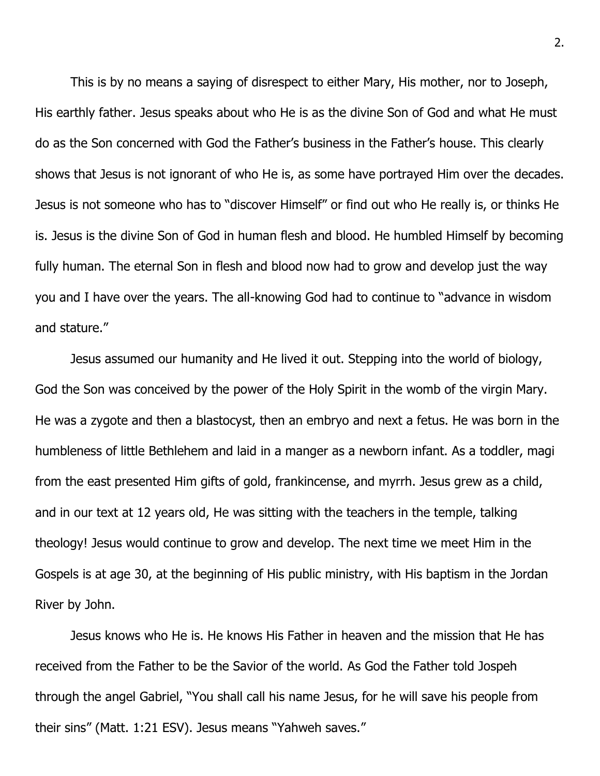This is by no means a saying of disrespect to either Mary, His mother, nor to Joseph, His earthly father. Jesus speaks about who He is as the divine Son of God and what He must do as the Son concerned with God the Father's business in the Father's house. This clearly shows that Jesus is not ignorant of who He is, as some have portrayed Him over the decades. Jesus is not someone who has to "discover Himself" or find out who He really is, or thinks He is. Jesus is the divine Son of God in human flesh and blood. He humbled Himself by becoming fully human. The eternal Son in flesh and blood now had to grow and develop just the way you and I have over the years. The all-knowing God had to continue to "advance in wisdom and stature."

Jesus assumed our humanity and He lived it out. Stepping into the world of biology, God the Son was conceived by the power of the Holy Spirit in the womb of the virgin Mary. He was a zygote and then a blastocyst, then an embryo and next a fetus. He was born in the humbleness of little Bethlehem and laid in a manger as a newborn infant. As a toddler, magi from the east presented Him gifts of gold, frankincense, and myrrh. Jesus grew as a child, and in our text at 12 years old, He was sitting with the teachers in the temple, talking theology! Jesus would continue to grow and develop. The next time we meet Him in the Gospels is at age 30, at the beginning of His public ministry, with His baptism in the Jordan River by John.

Jesus knows who He is. He knows His Father in heaven and the mission that He has received from the Father to be the Savior of the world. As God the Father told Jospeh through the angel Gabriel, "You shall call his name Jesus, for he will save his people from their sins" (Matt. 1:21 ESV). Jesus means "Yahweh saves."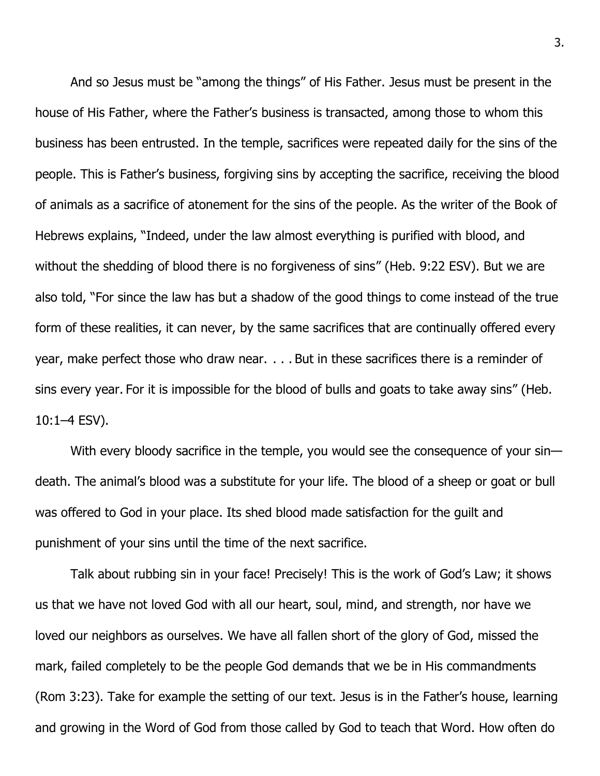And so Jesus must be "among the things" of His Father. Jesus must be present in the house of His Father, where the Father's business is transacted, among those to whom this business has been entrusted. In the temple, sacrifices were repeated daily for the sins of the people. This is Father's business, forgiving sins by accepting the sacrifice, receiving the blood of animals as a sacrifice of atonement for the sins of the people. As the writer of the Book of Hebrews explains, "Indeed, under the law almost everything is purified with blood, and without the shedding of blood there is no forgiveness of sins" (Heb. 9:22 ESV). But we are also told, "For since the law has but a shadow of the good things to come instead of the true form of these realities, it can never, by the same sacrifices that are continually offered every year, make perfect those who draw near. . . . But in these sacrifices there is a reminder of sins every year. For it is impossible for the blood of bulls and goats to take away sins" (Heb. 10:1–4 ESV).

With every bloody sacrifice in the temple, you would see the consequence of your sindeath. The animal's blood was a substitute for your life. The blood of a sheep or goat or bull was offered to God in your place. Its shed blood made satisfaction for the guilt and punishment of your sins until the time of the next sacrifice.

Talk about rubbing sin in your face! Precisely! This is the work of God's Law; it shows us that we have not loved God with all our heart, soul, mind, and strength, nor have we loved our neighbors as ourselves. We have all fallen short of the glory of God, missed the mark, failed completely to be the people God demands that we be in His commandments (Rom 3:23). Take for example the setting of our text. Jesus is in the Father's house, learning and growing in the Word of God from those called by God to teach that Word. How often do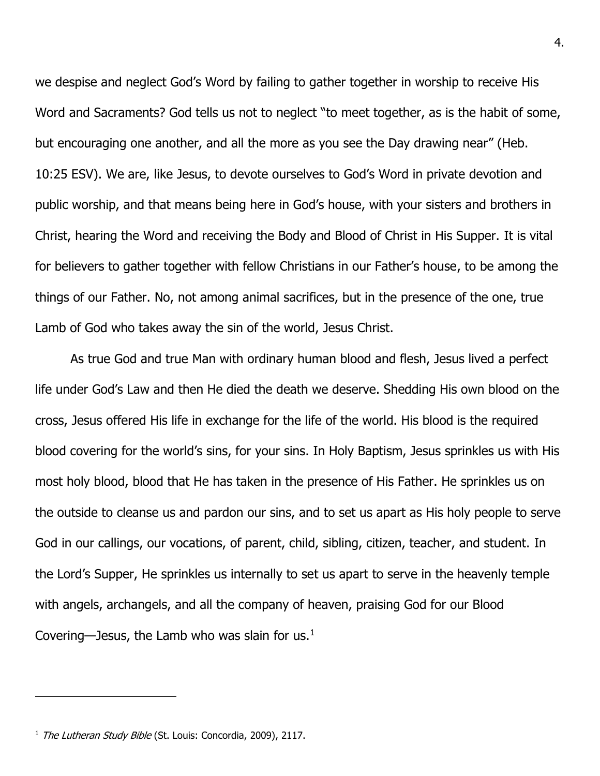we despise and neglect God's Word by failing to gather together in worship to receive His Word and Sacraments? God tells us not to neglect "to meet together, as is the habit of some, but encouraging one another, and all the more as you see the Day drawing near" (Heb. 10:25 ESV). We are, like Jesus, to devote ourselves to God's Word in private devotion and public worship, and that means being here in God's house, with your sisters and brothers in Christ, hearing the Word and receiving the Body and Blood of Christ in His Supper. It is vital for believers to gather together with fellow Christians in our Father's house, to be among the things of our Father. No, not among animal sacrifices, but in the presence of the one, true Lamb of God who takes away the sin of the world, Jesus Christ.

As true God and true Man with ordinary human blood and flesh, Jesus lived a perfect life under God's Law and then He died the death we deserve. Shedding His own blood on the cross, Jesus offered His life in exchange for the life of the world. His blood is the required blood covering for the world's sins, for your sins. In Holy Baptism, Jesus sprinkles us with His most holy blood, blood that He has taken in the presence of His Father. He sprinkles us on the outside to cleanse us and pardon our sins, and to set us apart as His holy people to serve God in our callings, our vocations, of parent, child, sibling, citizen, teacher, and student. In the Lord's Supper, He sprinkles us internally to set us apart to serve in the heavenly temple with angels, archangels, and all the company of heaven, praising God for our Blood Covering—Jesus, the Lamb who was slain for us. $<sup>1</sup>$ </sup>

<sup>4.</sup>

<sup>&</sup>lt;sup>1</sup> The Lutheran Study Bible (St. Louis: Concordia, 2009), 2117.